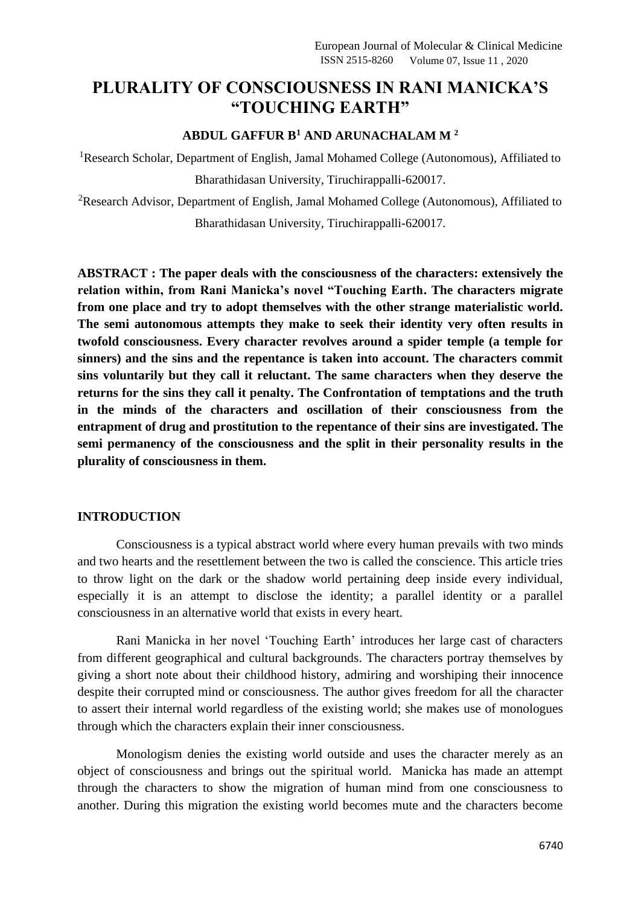# **PLURALITY OF CONSCIOUSNESS IN RANI MANICKA'S "TOUCHING EARTH"**

## **ABDUL GAFFUR B<sup>1</sup> AND ARUNACHALAM M <sup>2</sup>**

<sup>1</sup>Research Scholar, Department of English, Jamal Mohamed College (Autonomous), Affiliated to Bharathidasan University, Tiruchirappalli-620017.

<sup>2</sup>Research Advisor, Department of English, Jamal Mohamed College (Autonomous), Affiliated to Bharathidasan University, Tiruchirappalli-620017.

**ABSTRACT : The paper deals with the consciousness of the characters: extensively the relation within, from Rani Manicka's novel "Touching Earth. The characters migrate from one place and try to adopt themselves with the other strange materialistic world. The semi autonomous attempts they make to seek their identity very often results in twofold consciousness. Every character revolves around a spider temple (a temple for sinners) and the sins and the repentance is taken into account. The characters commit sins voluntarily but they call it reluctant. The same characters when they deserve the returns for the sins they call it penalty. The Confrontation of temptations and the truth in the minds of the characters and oscillation of their consciousness from the entrapment of drug and prostitution to the repentance of their sins are investigated. The semi permanency of the consciousness and the split in their personality results in the plurality of consciousness in them.**

### **INTRODUCTION**

Consciousness is a typical abstract world where every human prevails with two minds and two hearts and the resettlement between the two is called the conscience. This article tries to throw light on the dark or the shadow world pertaining deep inside every individual, especially it is an attempt to disclose the identity; a parallel identity or a parallel consciousness in an alternative world that exists in every heart.

Rani Manicka in her novel 'Touching Earth' introduces her large cast of characters from different geographical and cultural backgrounds. The characters portray themselves by giving a short note about their childhood history, admiring and worshiping their innocence despite their corrupted mind or consciousness. The author gives freedom for all the character to assert their internal world regardless of the existing world; she makes use of monologues through which the characters explain their inner consciousness.

Monologism denies the existing world outside and uses the character merely as an object of consciousness and brings out the spiritual world. Manicka has made an attempt through the characters to show the migration of human mind from one consciousness to another. During this migration the existing world becomes mute and the characters become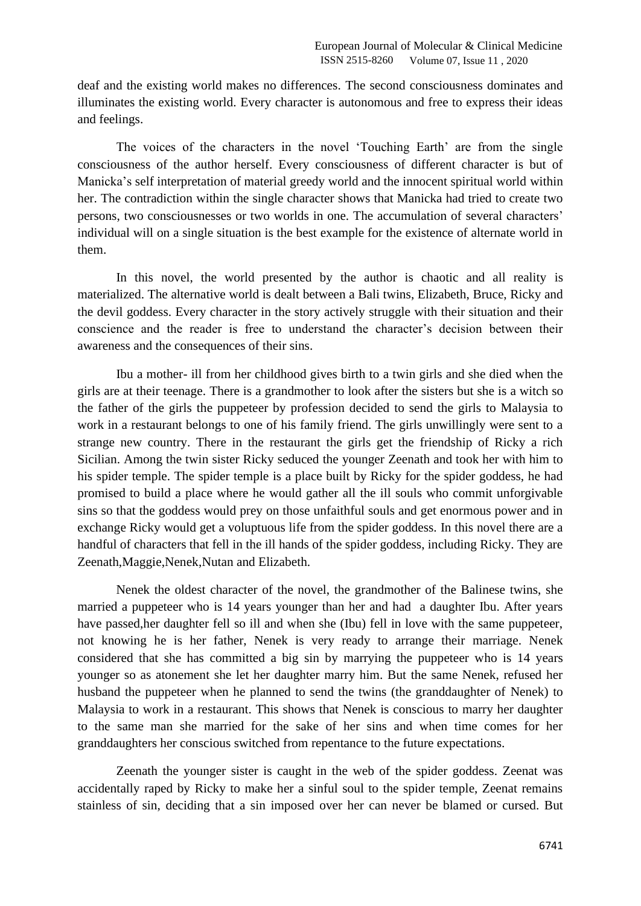deaf and the existing world makes no differences. The second consciousness dominates and illuminates the existing world. Every character is autonomous and free to express their ideas and feelings.

The voices of the characters in the novel 'Touching Earth' are from the single consciousness of the author herself. Every consciousness of different character is but of Manicka's self interpretation of material greedy world and the innocent spiritual world within her. The contradiction within the single character shows that Manicka had tried to create two persons, two consciousnesses or two worlds in one. The accumulation of several characters' individual will on a single situation is the best example for the existence of alternate world in them.

In this novel, the world presented by the author is chaotic and all reality is materialized. The alternative world is dealt between a Bali twins, Elizabeth, Bruce, Ricky and the devil goddess. Every character in the story actively struggle with their situation and their conscience and the reader is free to understand the character's decision between their awareness and the consequences of their sins.

Ibu a mother- ill from her childhood gives birth to a twin girls and she died when the girls are at their teenage. There is a grandmother to look after the sisters but she is a witch so the father of the girls the puppeteer by profession decided to send the girls to Malaysia to work in a restaurant belongs to one of his family friend. The girls unwillingly were sent to a strange new country. There in the restaurant the girls get the friendship of Ricky a rich Sicilian. Among the twin sister Ricky seduced the younger Zeenath and took her with him to his spider temple. The spider temple is a place built by Ricky for the spider goddess, he had promised to build a place where he would gather all the ill souls who commit unforgivable sins so that the goddess would prey on those unfaithful souls and get enormous power and in exchange Ricky would get a voluptuous life from the spider goddess. In this novel there are a handful of characters that fell in the ill hands of the spider goddess, including Ricky. They are Zeenath,Maggie,Nenek,Nutan and Elizabeth.

Nenek the oldest character of the novel, the grandmother of the Balinese twins, she married a puppeteer who is 14 years younger than her and had a daughter Ibu. After years have passed,her daughter fell so ill and when she (Ibu) fell in love with the same puppeteer, not knowing he is her father, Nenek is very ready to arrange their marriage. Nenek considered that she has committed a big sin by marrying the puppeteer who is 14 years younger so as atonement she let her daughter marry him. But the same Nenek, refused her husband the puppeteer when he planned to send the twins (the granddaughter of Nenek) to Malaysia to work in a restaurant. This shows that Nenek is conscious to marry her daughter to the same man she married for the sake of her sins and when time comes for her granddaughters her conscious switched from repentance to the future expectations.

Zeenath the younger sister is caught in the web of the spider goddess. Zeenat was accidentally raped by Ricky to make her a sinful soul to the spider temple, Zeenat remains stainless of sin, deciding that a sin imposed over her can never be blamed or cursed. But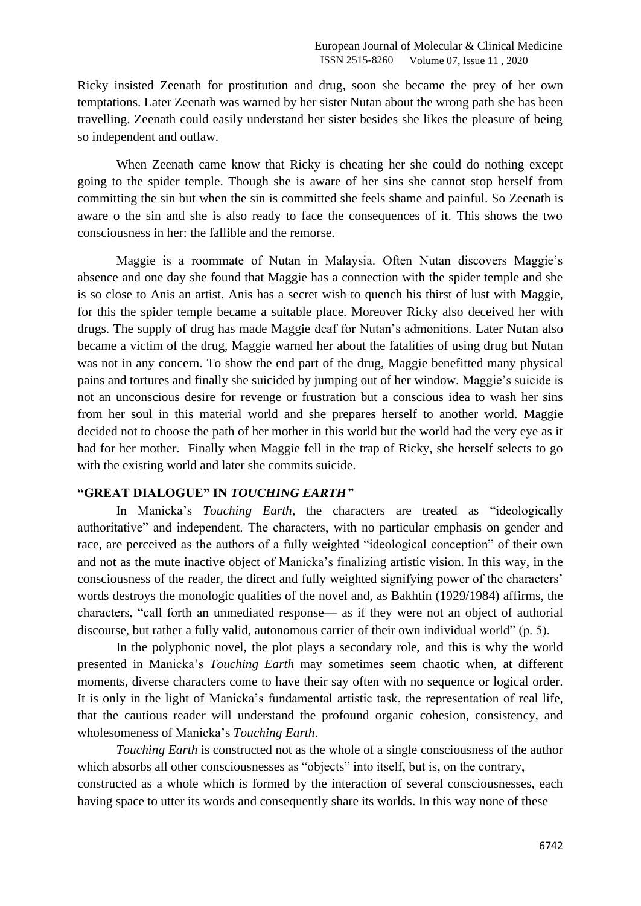Ricky insisted Zeenath for prostitution and drug, soon she became the prey of her own temptations. Later Zeenath was warned by her sister Nutan about the wrong path she has been travelling. Zeenath could easily understand her sister besides she likes the pleasure of being so independent and outlaw.

When Zeenath came know that Ricky is cheating her she could do nothing except going to the spider temple. Though she is aware of her sins she cannot stop herself from committing the sin but when the sin is committed she feels shame and painful. So Zeenath is aware o the sin and she is also ready to face the consequences of it. This shows the two consciousness in her: the fallible and the remorse.

Maggie is a roommate of Nutan in Malaysia. Often Nutan discovers Maggie's absence and one day she found that Maggie has a connection with the spider temple and she is so close to Anis an artist. Anis has a secret wish to quench his thirst of lust with Maggie, for this the spider temple became a suitable place. Moreover Ricky also deceived her with drugs. The supply of drug has made Maggie deaf for Nutan's admonitions. Later Nutan also became a victim of the drug, Maggie warned her about the fatalities of using drug but Nutan was not in any concern. To show the end part of the drug, Maggie benefitted many physical pains and tortures and finally she suicided by jumping out of her window. Maggie's suicide is not an unconscious desire for revenge or frustration but a conscious idea to wash her sins from her soul in this material world and she prepares herself to another world. Maggie decided not to choose the path of her mother in this world but the world had the very eye as it had for her mother. Finally when Maggie fell in the trap of Ricky, she herself selects to go with the existing world and later she commits suicide.

#### **"GREAT DIALOGUE" IN** *TOUCHING EARTH"*

In Manicka's *Touching Earth*, the characters are treated as "ideologically authoritative" and independent. The characters, with no particular emphasis on gender and race, are perceived as the authors of a fully weighted "ideological conception" of their own and not as the mute inactive object of Manicka's finalizing artistic vision. In this way, in the consciousness of the reader, the direct and fully weighted signifying power of the characters' words destroys the monologic qualities of the novel and, as Bakhtin (1929/1984) affirms, the characters, "call forth an unmediated response— as if they were not an object of authorial discourse, but rather a fully valid, autonomous carrier of their own individual world" (p. 5).

In the polyphonic novel, the plot plays a secondary role, and this is why the world presented in Manicka's *Touching Earth* may sometimes seem chaotic when, at different moments, diverse characters come to have their say often with no sequence or logical order. It is only in the light of Manicka's fundamental artistic task, the representation of real life, that the cautious reader will understand the profound organic cohesion, consistency, and wholesomeness of Manicka's *Touching Earth*.

*Touching Earth* is constructed not as the whole of a single consciousness of the author which absorbs all other consciousnesses as "objects" into itself, but is, on the contrary, constructed as a whole which is formed by the interaction of several consciousnesses, each having space to utter its words and consequently share its worlds. In this way none of these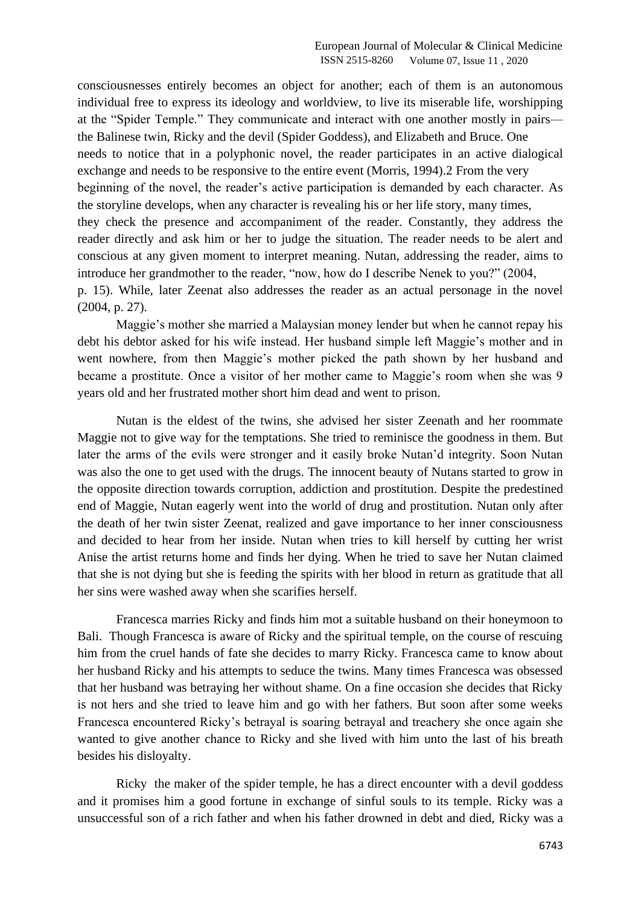consciousnesses entirely becomes an object for another; each of them is an autonomous individual free to express its ideology and worldview, to live its miserable life, worshipping at the "Spider Temple." They communicate and interact with one another mostly in pairs the Balinese twin, Ricky and the devil (Spider Goddess), and Elizabeth and Bruce. One needs to notice that in a polyphonic novel, the reader participates in an active dialogical exchange and needs to be responsive to the entire event (Morris, 1994).2 From the very beginning of the novel, the reader's active participation is demanded by each character. As the storyline develops, when any character is revealing his or her life story, many times, they check the presence and accompaniment of the reader. Constantly, they address the reader directly and ask him or her to judge the situation. The reader needs to be alert and conscious at any given moment to interpret meaning. Nutan, addressing the reader, aims to introduce her grandmother to the reader, "now, how do I describe Nenek to you?" (2004, p. 15). While, later Zeenat also addresses the reader as an actual personage in the novel (2004, p. 27).

Maggie's mother she married a Malaysian money lender but when he cannot repay his debt his debtor asked for his wife instead. Her husband simple left Maggie's mother and in went nowhere, from then Maggie's mother picked the path shown by her husband and became a prostitute. Once a visitor of her mother came to Maggie's room when she was 9 years old and her frustrated mother short him dead and went to prison.

Nutan is the eldest of the twins, she advised her sister Zeenath and her roommate Maggie not to give way for the temptations. She tried to reminisce the goodness in them. But later the arms of the evils were stronger and it easily broke Nutan'd integrity. Soon Nutan was also the one to get used with the drugs. The innocent beauty of Nutans started to grow in the opposite direction towards corruption, addiction and prostitution. Despite the predestined end of Maggie, Nutan eagerly went into the world of drug and prostitution. Nutan only after the death of her twin sister Zeenat, realized and gave importance to her inner consciousness and decided to hear from her inside. Nutan when tries to kill herself by cutting her wrist Anise the artist returns home and finds her dying. When he tried to save her Nutan claimed that she is not dying but she is feeding the spirits with her blood in return as gratitude that all her sins were washed away when she scarifies herself.

Francesca marries Ricky and finds him mot a suitable husband on their honeymoon to Bali. Though Francesca is aware of Ricky and the spiritual temple, on the course of rescuing him from the cruel hands of fate she decides to marry Ricky. Francesca came to know about her husband Ricky and his attempts to seduce the twins. Many times Francesca was obsessed that her husband was betraying her without shame. On a fine occasion she decides that Ricky is not hers and she tried to leave him and go with her fathers. But soon after some weeks Francesca encountered Ricky's betrayal is soaring betrayal and treachery she once again she wanted to give another chance to Ricky and she lived with him unto the last of his breath besides his disloyalty.

Ricky the maker of the spider temple, he has a direct encounter with a devil goddess and it promises him a good fortune in exchange of sinful souls to its temple. Ricky was a unsuccessful son of a rich father and when his father drowned in debt and died, Ricky was a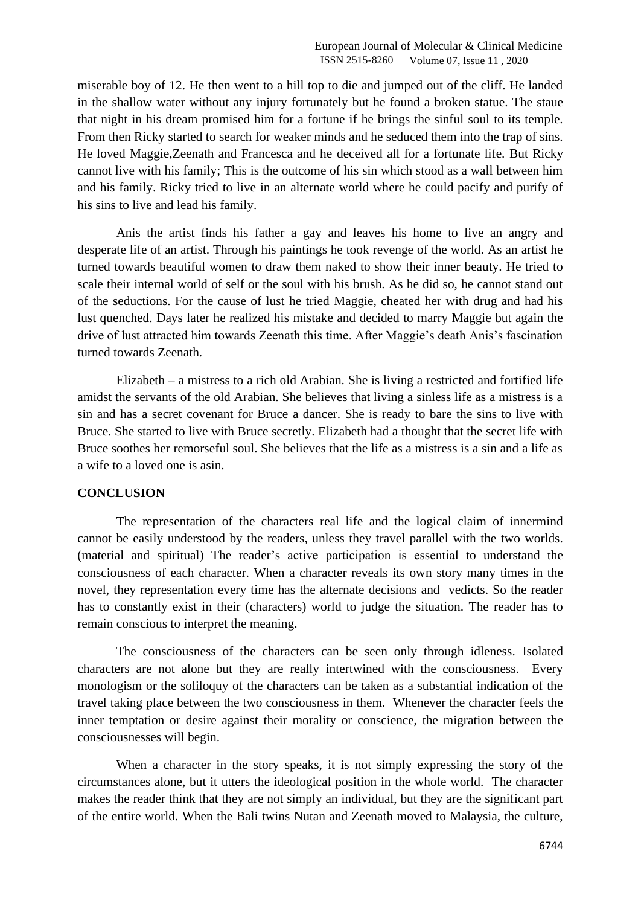miserable boy of 12. He then went to a hill top to die and jumped out of the cliff. He landed in the shallow water without any injury fortunately but he found a broken statue. The staue that night in his dream promised him for a fortune if he brings the sinful soul to its temple. From then Ricky started to search for weaker minds and he seduced them into the trap of sins. He loved Maggie,Zeenath and Francesca and he deceived all for a fortunate life. But Ricky cannot live with his family; This is the outcome of his sin which stood as a wall between him and his family. Ricky tried to live in an alternate world where he could pacify and purify of his sins to live and lead his family.

Anis the artist finds his father a gay and leaves his home to live an angry and desperate life of an artist. Through his paintings he took revenge of the world. As an artist he turned towards beautiful women to draw them naked to show their inner beauty. He tried to scale their internal world of self or the soul with his brush. As he did so, he cannot stand out of the seductions. For the cause of lust he tried Maggie, cheated her with drug and had his lust quenched. Days later he realized his mistake and decided to marry Maggie but again the drive of lust attracted him towards Zeenath this time. After Maggie's death Anis's fascination turned towards Zeenath.

Elizabeth – a mistress to a rich old Arabian. She is living a restricted and fortified life amidst the servants of the old Arabian. She believes that living a sinless life as a mistress is a sin and has a secret covenant for Bruce a dancer. She is ready to bare the sins to live with Bruce. She started to live with Bruce secretly. Elizabeth had a thought that the secret life with Bruce soothes her remorseful soul. She believes that the life as a mistress is a sin and a life as a wife to a loved one is asin.

#### **CONCLUSION**

The representation of the characters real life and the logical claim of innermind cannot be easily understood by the readers, unless they travel parallel with the two worlds. (material and spiritual) The reader's active participation is essential to understand the consciousness of each character. When a character reveals its own story many times in the novel, they representation every time has the alternate decisions and vedicts. So the reader has to constantly exist in their (characters) world to judge the situation. The reader has to remain conscious to interpret the meaning.

The consciousness of the characters can be seen only through idleness. Isolated characters are not alone but they are really intertwined with the consciousness. Every monologism or the soliloquy of the characters can be taken as a substantial indication of the travel taking place between the two consciousness in them. Whenever the character feels the inner temptation or desire against their morality or conscience, the migration between the consciousnesses will begin.

When a character in the story speaks, it is not simply expressing the story of the circumstances alone, but it utters the ideological position in the whole world. The character makes the reader think that they are not simply an individual, but they are the significant part of the entire world. When the Bali twins Nutan and Zeenath moved to Malaysia, the culture,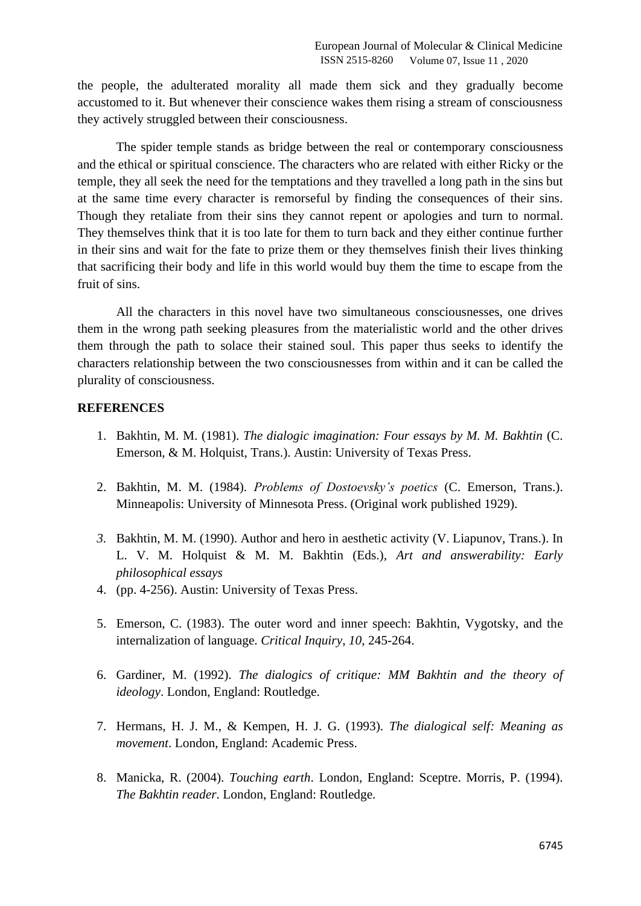the people, the adulterated morality all made them sick and they gradually become accustomed to it. But whenever their conscience wakes them rising a stream of consciousness they actively struggled between their consciousness.

The spider temple stands as bridge between the real or contemporary consciousness and the ethical or spiritual conscience. The characters who are related with either Ricky or the temple, they all seek the need for the temptations and they travelled a long path in the sins but at the same time every character is remorseful by finding the consequences of their sins. Though they retaliate from their sins they cannot repent or apologies and turn to normal. They themselves think that it is too late for them to turn back and they either continue further in their sins and wait for the fate to prize them or they themselves finish their lives thinking that sacrificing their body and life in this world would buy them the time to escape from the fruit of sins.

All the characters in this novel have two simultaneous consciousnesses, one drives them in the wrong path seeking pleasures from the materialistic world and the other drives them through the path to solace their stained soul. This paper thus seeks to identify the characters relationship between the two consciousnesses from within and it can be called the plurality of consciousness.

### **REFERENCES**

- 1. Bakhtin, M. M. (1981). *The dialogic imagination: Four essays by M. M. Bakhtin* (C. Emerson, & M. Holquist, Trans.). Austin: University of Texas Press.
- 2. Bakhtin, M. M. (1984). *Problems of Dostoevsky's poetics* (C. Emerson, Trans.). Minneapolis: University of Minnesota Press. (Original work published 1929).
- *3.* Bakhtin, M. M. (1990). Author and hero in aesthetic activity (V. Liapunov, Trans.). In L. V. M. Holquist & M. M. Bakhtin (Eds.), *Art and answerability: Early philosophical essays*
- 4. (pp. 4-256). Austin: University of Texas Press.
- 5. Emerson, C. (1983). The outer word and inner speech: Bakhtin, Vygotsky, and the internalization of language. *Critical Inquiry*, *10*, 245-264.
- 6. Gardiner, M. (1992). *The dialogics of critique: MM Bakhtin and the theory of ideology*. London, England: Routledge.
- 7. Hermans, H. J. M., & Kempen, H. J. G. (1993). *The dialogical self: Meaning as movement*. London, England: Academic Press.
- 8. Manicka, R. (2004). *Touching earth*. London, England: Sceptre. Morris, P. (1994). *The Bakhtin reader*. London, England: Routledge.